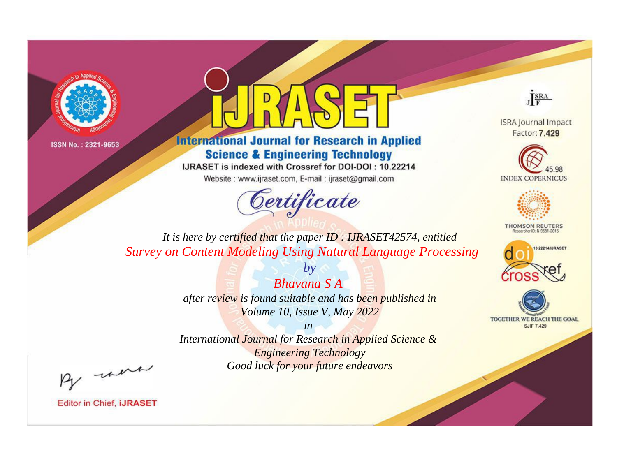



**International Journal for Research in Applied Science & Engineering Technology** 

IJRASET is indexed with Crossref for DOI-DOI: 10.22214

Website: www.ijraset.com, E-mail: ijraset@gmail.com



JERA

**ISRA Journal Impact** Factor: 7.429





**THOMSON REUTERS** 



TOGETHER WE REACH THE GOAL **SJIF 7.429** 

*It is here by certified that the paper ID : IJRASET42574, entitled Survey on Content Modeling Using Natural Language Processing*

> *Bhavana S A after review is found suitable and has been published in Volume 10, Issue V, May 2022*

*by*

*in* 

*International Journal for Research in Applied Science & Engineering Technology Good luck for your future endeavors*

By morn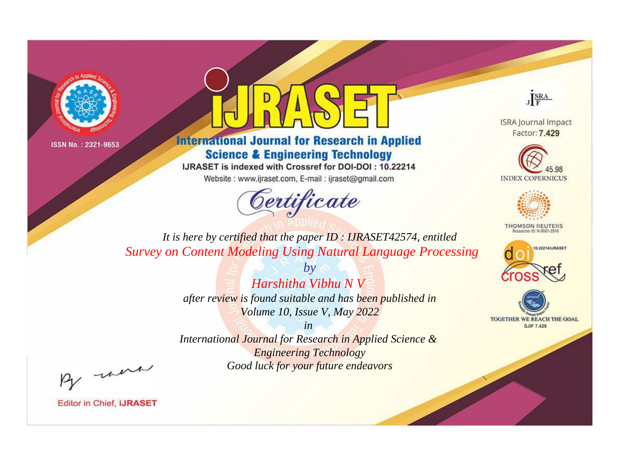



**International Journal for Research in Applied Science & Engineering Technology** 

IJRASET is indexed with Crossref for DOI-DOI: 10.22214

Website: www.ijraset.com, E-mail: ijraset@gmail.com



JERA

**ISRA Journal Impact** Factor: 7.429





**THOMSON REUTERS** 



TOGETHER WE REACH THE GOAL **SJIF 7.429** 

*It is here by certified that the paper ID : IJRASET42574, entitled Survey on Content Modeling Using Natural Language Processing*

> *Harshitha Vibhu N V after review is found suitable and has been published in Volume 10, Issue V, May 2022*

*by*

*in* 

*International Journal for Research in Applied Science & Engineering Technology Good luck for your future endeavors*

By morn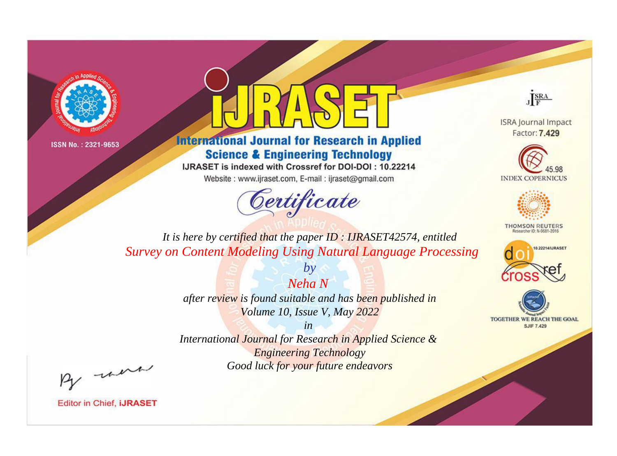



**International Journal for Research in Applied Science & Engineering Technology** 

IJRASET is indexed with Crossref for DOI-DOI: 10.22214

Website: www.ijraset.com, E-mail: ijraset@gmail.com





**ISRA Journal Impact** Factor: 7.429





**THOMSON REUTERS** 



TOGETHER WE REACH THE GOAL **SJIF 7.429** 

*It is here by certified that the paper ID : IJRASET42574, entitled Survey on Content Modeling Using Natural Language Processing*

> *after review is found suitable and has been published in Volume 10, Issue V, May 2022*

*by*

*Neha N* 

*in* 

*International Journal for Research in Applied Science & Engineering Technology Good luck for your future endeavors*

By morn